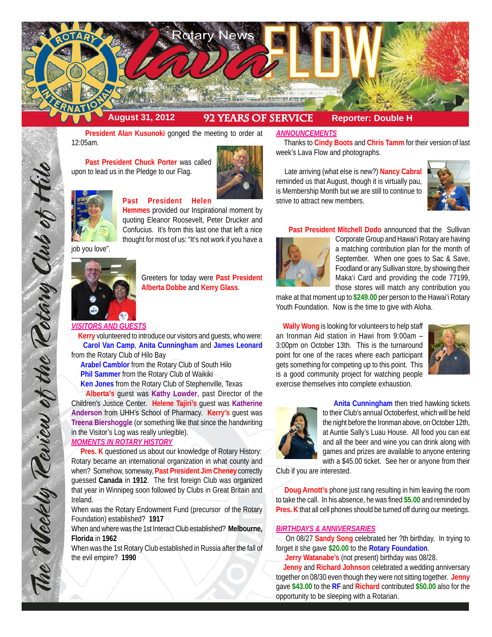

 **President Alan Kusunoki** gonged the meeting to order at 12:05am.

 **Past President Chuck Porter** was called upon to lead us in the Pledge to our Flag.





#### **Past President Helen**

**Hemmes** provided our Inspirational moment by quoting Eleanor Roosevelt, Peter Drucker and Confucius. It's from this last one that left a nice thought for most of us: "It's not work if you have a

job you love".



Greeters for today were **Past President Alberta Dobbe** and **Kerry Glass**.

*VISITORS AND GUESTS*

 **Kerry** volunteered to introduce our visitors and guests, who were: **Carol Van Camp**, **Anita Cunningham** and **James Leonard** from the Rotary Club of Hilo Bay

 **Arabel Camblor** from the Rotary Club of South Hilo **Phil Sammer** from the Rotary Club of Waikiki **Ken Jones** from the Rotary Club of Stephenville, Texas

 **Alberta's** guest was **Kathy Lowder**, past Director of the Children's Justice Center. **Helene Tajiri's** guest was **Katherine Anderson** from UHH's School of Pharmacy. **Kerry's** guest was **Treena Biershoggle** (or something like that since the handwriting in the Visitor's Log was really unlegible).

# *MOMENTS IN ROTARY HISTORY*

 **Pres. K** questioned us about our knowledge of Rotary History: Rotary became an international organization in what county and when? Somehow, someway, **Past President Jim Cheney** correctly guessed **Canada** in **1912**. The first foreign Club was organized that year in Winnipeg soon followed by Clubs in Great Britain and Ireland.

When was the Rotary Endowment Fund (precursor of the Rotary Foundation) established? **1917**

When and where was the 1st Interact Club established? **Melbourne, Florida** in **1962**

When was the 1st Rotary Club established in Russia after the fall of the evil empire? **1990**

#### *ANNOUNCEMENTS*

 Thanks to **Cindy Boots** and **Chris Tamm** for their version of last week's Lava Flow and photographs.

 Late arriving (what else is new?) **Nancy Cabral** reminded us that August, though it is virtually pau, is Membership Month but we are still to continue to strive to attract new members.



**Past President Mitchell Dodo** announced that the Sullivan



Corporate Group and Hawai'i Rotary are having a matching contribution plan for the month of September. When one goes to Sac & Save, Foodland or any Sullivan store, by showing their Maka'i Card and providing the code 77199, those stores will match any contribution you

make at that moment up to **\$249.00** per person to the Hawai'i Rotary Youth Foundation. Now is the time to give with Aloha.

 **Wally Wong** is looking for volunteers to help staff an Ironman Aid station in Hawi from 9:00am – 3:00pm on October 13th. This is the turnaround point for one of the races where each participant gets something for competing up to this point. This is a good community project for watching people exercise themselves into complete exhaustion.





 **Anita Cunningham** then tried hawking tickets to their Club's annual Octoberfest, which will be held the night before the Ironman above, on October 12th, at Auntie Sally's Luau House. All food you can eat and all the beer and wine you can drink along with games and prizes are available to anyone entering with a \$45.00 ticket. See her or anyone from their

Club if you are interested.

 **Doug Arnott's** phone just rang resulting in him leaving the room to take the call. In his absence, he was fined **\$5.00** and reminded by **Pres. K** that all cell phones should be turned off during our meetings.

## *BIRTHDAYS & ANNIVERSARIES*

 On 08/27 **Sandy Song** celebrated her ?th birthday. In trying to forget it she gave **\$20.00** to the **Rotary Foundation**.

**Jerry Watanabe's** (not present) birthday was 08/28.

 **Jenny** and **Richard Johnson** celebrated a wedding anniversary together on 08/30 even though they were not sitting together. **Jenny** gave **\$43.00** to the **RF** and **Richard** contributed **\$50.00** also for the opportunity to be sleeping with a Rotarian.

The Weekly Review of the Rotary Club of Hilo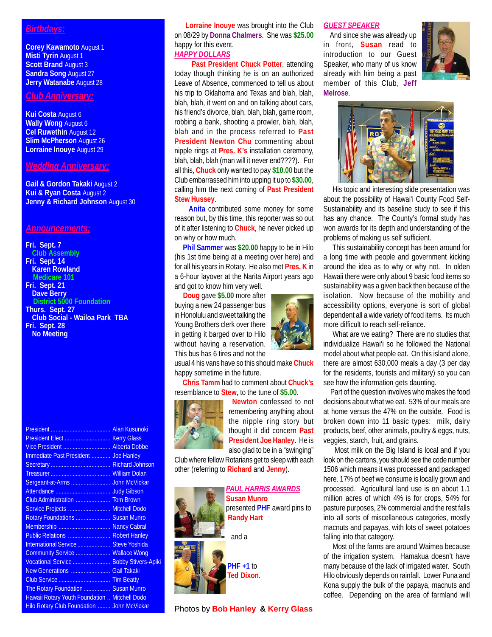## *Birthdays:*

**Corey Kawamoto** August 1 **Misti Tyrin** August 1 **Scott Brand** August 3 **Sandra Song** August 27 **Jerry Watanabe** August 28

# *Club Anniversary:*

**Kui Costa** August 6 **Wally Wong** August 6 **Cel Ruwethin** August 12 **Slim McPherson** August 26 **Lorraine Inouye** August 29

#### *Wedding Anniversary:*

**Gail & Gordon Takaki** August 2 **Kui & Ryan Costa** August 2 **Jenny & Richard Johnson** August 30

#### *Announcements:*

**Fri. Sept. 7 Club Assembly Fri. Sept. 14 Karen Rowland Medicare 101**

- **Fri. Sept. 21 Dave Berry District 5000 Foundation Thurs. Sept. 27**
- **Club Social Wailoa Park TBA Fri. Sept. 28 No Meeting**

| Immediate Past President  Joe Hanley          |  |
|-----------------------------------------------|--|
|                                               |  |
|                                               |  |
|                                               |  |
|                                               |  |
|                                               |  |
| Service Projects  Mitchell Dodo               |  |
| Rotary Foundations  Susan Munro               |  |
| Membership  Nancy Cabral                      |  |
| Public Relations  Robert Hanley               |  |
| International Service  Steve Yoshida          |  |
| Community Service  Wallace Wong               |  |
| Vocational Service  Bobby Stivers-Apiki       |  |
| New Generations  Gail Takaki                  |  |
|                                               |  |
| The Rotary Foundation  Susan Munro            |  |
| Hawaii Rotary Youth Foundation  Mitchell Dodo |  |
| Hilo Rotary Club Foundation  John McVickar    |  |

# **Lorraine Inouye** was brought into the Club on 08/29 by **Donna Chalmers**. She was **\$25.00** happy for this event.

# *HAPPY DOLLARS*

 **Past President Chuck Potter**, attending today though thinking he is on an authorized Leave of Absence, commenced to tell us about his trip to Oklahoma and Texas and blah, blah, blah, blah, it went on and on talking about cars, his friend's divorce, blah, blah, blah, game room, robbing a bank, shooting a prowler, blah, blah, blah and in the process referred to **Past President Newton Chu** commenting about nipple rings at **Pres. K's** installation ceremony, blah, blah, blah (man will it never end????). For all this, **Chuck** only wanted to pay **\$10.00** but the Club embarrassed him into upping it up to **\$30.00**, calling him the next coming of **Past President Stew Hussey**.

 **Anita** contributed some money for some reason but, by this time, this reporter was so out of it after listening to **Chuck**, he never picked up on why or how much.

 **Phil Sammer** was **\$20.00** happy to be in Hilo (his 1st time being at a meeting over here) and for all his years in Rotary. He also met **Pres. K** in a 6-hour layover at the Narita Airport years ago and got to know him very well.

 **Doug** gave **\$5.00** more after buying a new 24 passenger bus in Honolulu and sweet talking the Young Brothers clerk over there in getting it barged over to Hilo without having a reservation. This bus has 6 tires and not the

usual 4 his vans have so this should make **Chuck** happy sometime in the future.

 **Chris Tamm** had to comment about **Chuck's** resemblance to **Stew**, to the tune of **\$5.00**.



**Newton** confessed to not remembering anything about the nipple ring story but thought it did concern **Past President Joe Hanley**. He is also glad to be in a "swinging"

Club where fellow Rotarians get to sleep with each other (referring to **Richard** and **Jenny**).

> *PAUL HARRIS AWARDS* **Susan Munro** presented **PHF** award pins to **Randy Hart**

> > and a



**PHF +1** to **Ted Dixon**.

Photos by **Bob Hanley & Kerry Glass** 

#### *GUEST SPEAKER*

 And since she was already up in front, **Susan** read to introduction to our Guest Speaker, who many of us know already with him being a past member of this Club, **Jeff Melrose**.





 His topic and interesting slide presentation was about the possibility of Hawai'i County Food Self-Sustainability and its baseline study to see if this has any chance. The County's formal study has won awards for its depth and understanding of the problems of making us self sufficient.

 This sustainability concept has been around for a long time with people and government kicking around the idea as to why or why not. In olden Hawaii there were only about 9 basic food items so sustainability was a given back then because of the isolation. Now because of the mobility and accessibility options, everyone is sort of global dependent all a wide variety of food items. Its much more difficult to reach self-reliance.

 What are we eating? There are no studies that individualize Hawai'i so he followed the National model about what people eat. On this island alone, there are almost 630,000 meals a day (3 per day for the residents, tourists and military) so you can see how the information gets daunting.

 Part of the question involves who makes the food decisions about what we eat. 53% of our meals are at home versus the 47% on the outside. Food is broken down into 11 basic types: milk, dairy products, beef, other animals, poultry & eggs, nuts, veggies, starch, fruit, and grains.

 Most milk on the Big Island is local and if you look on the cartons, you should see the code number 1506 which means it was processed and packaged here. 17% of beef we consume is locally grown and processed. Agricultural land use is on about 1.1 million acres of which 4% is for crops, 54% for pasture purposes, 2% commercial and the rest falls into all sorts of miscellaneous categories, mostly macnuts and papayas, with lots of sweet potatoes falling into that category.

 Most of the farms are around Waimea because of the irrigation system. Hamakua doesn't have many because of the lack of irrigated water. South Hilo obviously depends on rainfall. Lower Puna and Kona supply the bulk of the papaya, macnuts and coffee. Depending on the area of farmland will